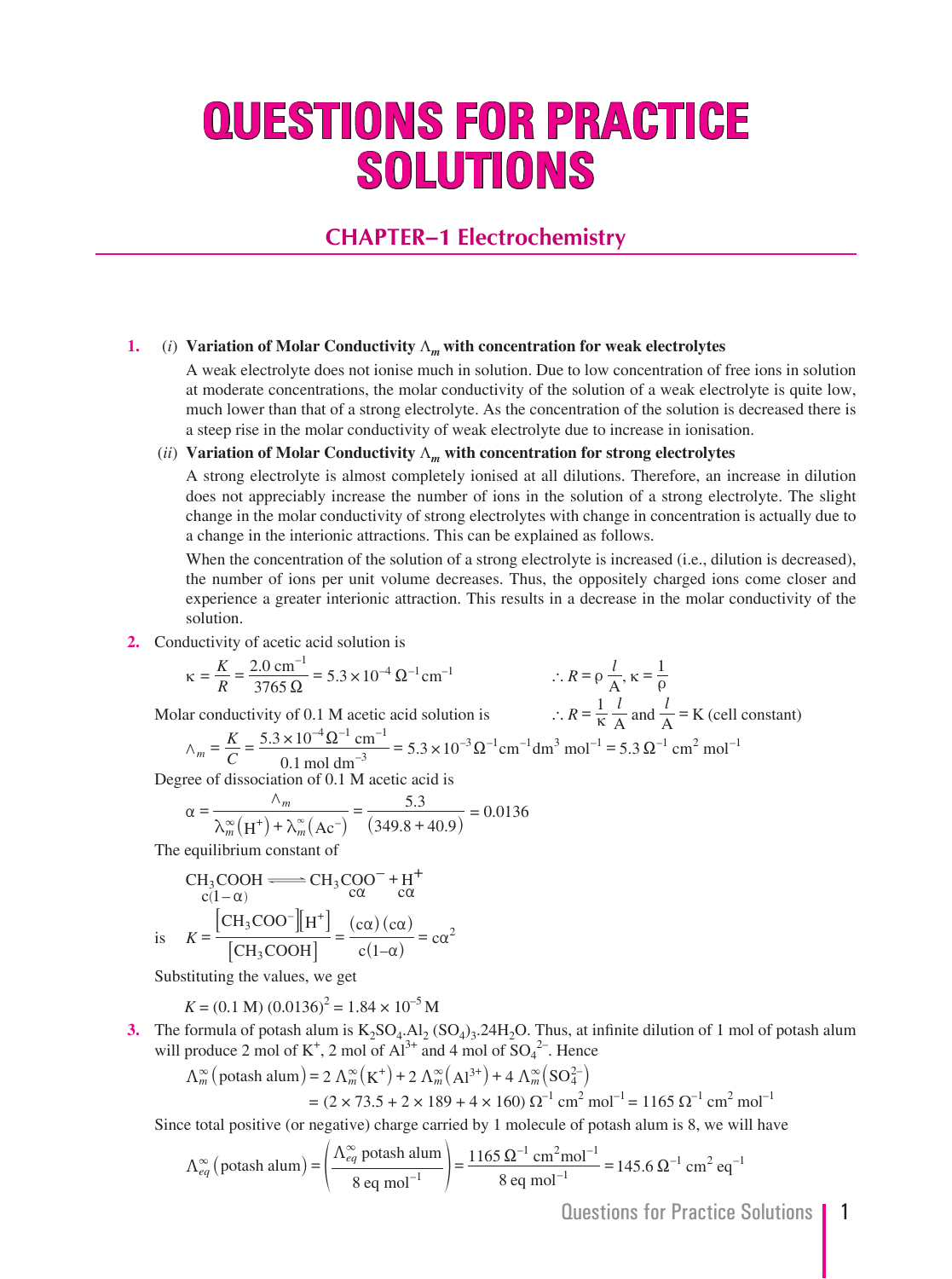# **QUESTIONS FOR PRACTICE SOLUTIONS**

### **CHAPTER–1 Electrochemistry**

#### **1.** (*i*) **Variation of Molar Conductivity** Λ*<sup>m</sup>* **with concentration for weak electrolytes**

A weak electrolyte does not ionise much in solution. Due to low concentration of free ions in solution at moderate concentrations, the molar conductivity of the solution of a weak electrolyte is quite low, much lower than that of a strong electrolyte. As the concentration of the solution is decreased there is a steep rise in the molar conductivity of weak electrolyte due to increase in ionisation.

#### (*ii*) **Variation of Molar Conductivity** Λ*m* **with concentration for strong electrolytes**

 A strong electrolyte is almost completely ionised at all dilutions. Therefore, an increase in dilution does not appreciably increase the number of ions in the solution of a strong electrolyte. The slight change in the molar conductivity of strong electrolytes with change in concentration is actually due to a change in the interionic attractions. This can be explained as follows.

When the concentration of the solution of a strong electrolyte is increased (i.e., dilution is decreased), the number of ions per unit volume decreases. Thus, the oppositely charged ions come closer and experience a greater interionic attraction. This results in a decrease in the molar conductivity of the solution.

 **2.** Conductivity of acetic acid solution is

$$
\kappa = \frac{K}{R} = \frac{2.0 \text{ cm}^{-1}}{3765 \Omega} = 5.3 \times 10^{-4} \Omega^{-1} \text{ cm}^{-1}
$$
  
 
$$
\therefore R = \rho \frac{l}{A}, \kappa = \frac{1}{\rho}
$$

Molar conductivity of 0.1 M acetic acid solution is  $\therefore R = \frac{1}{\kappa} \frac{l}{A}$  and  $\frac{l}{A} = K$  (cell constant)

$$
\wedge_m = \frac{K}{C} = \frac{5.3 \times 10^{-4} \Omega^{-1} \text{ cm}^{-1}}{0.1 \text{ mol dm}^{-3}} = 5.3 \times 10^{-3} \Omega^{-1} \text{ cm}^{-1} \text{ dm}^3 \text{ mol}^{-1} = 5.3 \Omega^{-1} \text{ cm}^2 \text{ mol}^{-1}
$$

Degree of dissociation of 0.1 M acetic acid is

$$
\alpha = \frac{\Lambda_m}{\lambda_m^{\infty}(\mathbf{H}^+) + \lambda_m^{\infty}(\mathbf{A}\mathbf{c}^-)} = \frac{5.3}{(349.8 + 40.9)} = 0.0136
$$

The equilibrium constant of

$$
\text{CH}_3\text{COOH} \xrightarrow{c(1-\alpha)} \text{CH}_3\text{COO}^- + \text{H}^+ \n\text{C}(1-\alpha) \n\text{is} \quad K = \frac{\left[\text{CH}_3\text{COO}^-\right]\left[\text{H}^+\right]}{\left[\text{CH}_3\text{COOH}\right]} = \frac{\left(\text{c}\alpha\right)\left(\text{c}\alpha\right)}{\left(\text{c}(1-\alpha)\right)} = \text{c}\alpha^2
$$

Substituting the values, we get

$$
K = (0.1 \text{ M}) (0.0136)^2 = 1.84 \times 10^{-5} \text{ M}
$$

**3.** The formula of potash alum is  $K_2SO_4$ .  $Al_2(SO_4)_3$ .  $24H_2O$ . Thus, at infinite dilution of 1 mol of potash alum will produce 2 mol of  $K^+$ , 2 mol of  $Al^{3+}$  and 4 mol of  $SO_4^{2-}$ . Hence

$$
\Lambda_m^{\infty} \left( \text{potash alum} \right) = 2 \Lambda_m^{\infty} \left( K^+ \right) + 2 \Lambda_m^{\infty} \left( A1^{3+} \right) + 4 \Lambda_m^{\infty} \left( SO_4^{2-} \right)
$$
  
=  $(2 \times 73.5 + 2 \times 189 + 4 \times 160) \Omega^{-1} \text{ cm}^2 \text{ mol}^{-1} = 1165 \Omega^{-1} \text{ cm}^2 \text{ mol}^{-1}$ 

Since total positive (or negative) charge carried by 1 molecule of potash alum is 8, we will have

$$
\Lambda_{eq}^{\infty} \left( \text{potash alum} \right) = \left( \frac{\Lambda_{eq}^{\infty} \text{ potash alum}}{8 \text{ eq mol}^{-1}} \right) = \frac{1165 \ \Omega^{-1} \text{ cm}^2 \text{mol}^{-1}}{8 \text{ eq mol}^{-1}} = 145.6 \ \Omega^{-1} \text{ cm}^2 \text{ eq}^{-1}
$$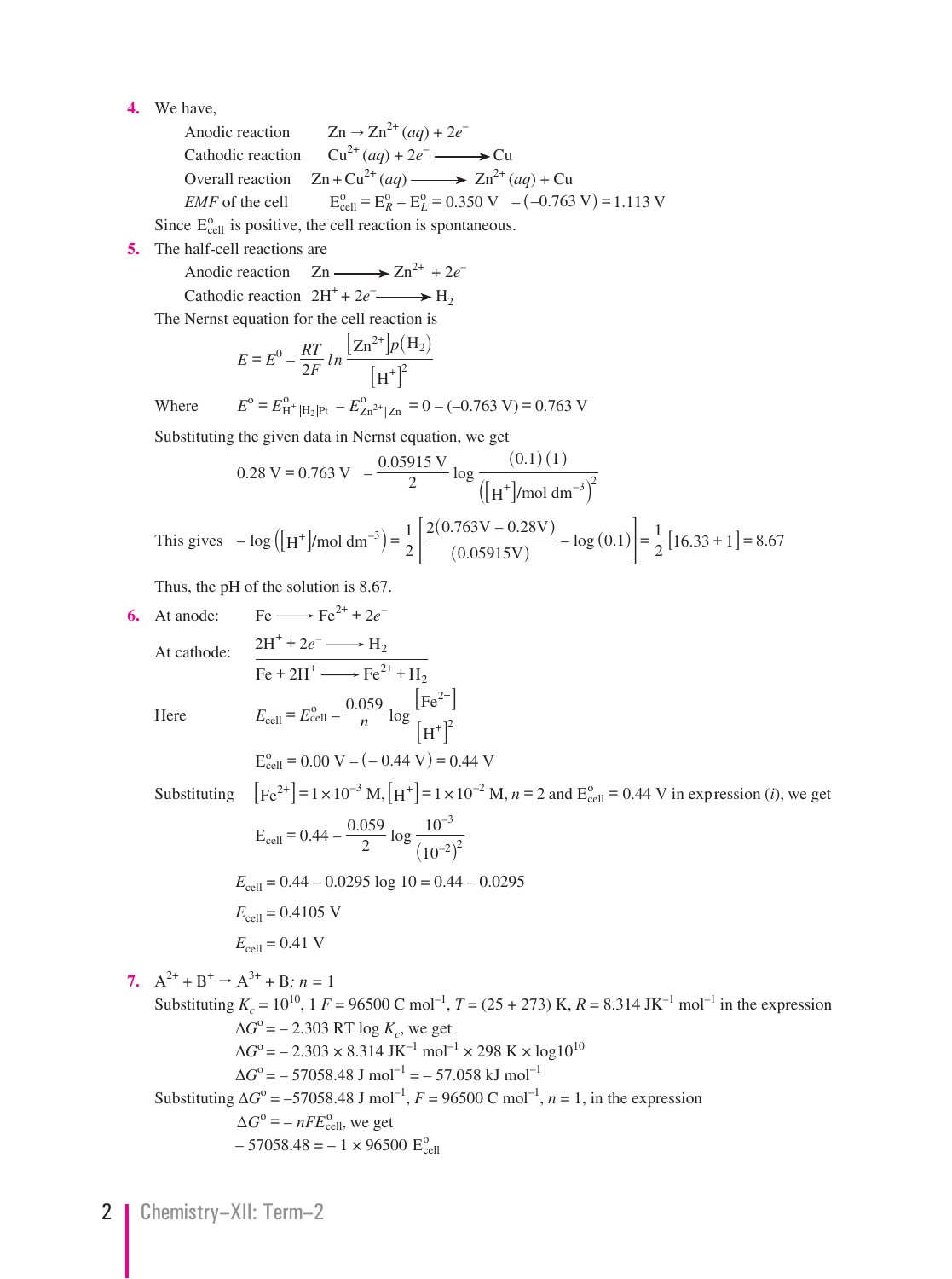- **4.** We have,
- Anodic reaction  $Zn \to Zn^{2+} (aq) + 2e^{-}$ Cathodic reaction  $Cu^{2+}(aq) + 2e^ \longrightarrow$  Cu Overall reaction  $Zn + Cu^{2+}(aq) \longrightarrow Zn^{2+}(aq) + Cu$ *EMF* of the cell  $E_{cell}^{\circ} = E_R^{\circ} - E_L^{\circ} = 0.350 \text{ V } -(-0.763 \text{ V}) = 1.113 \text{ V}$ Since  $E_{cell}^{\circ}$  is positive, the cell reaction is spontaneous.

 **5.** The half-cell reactions are

Anodic reaction  $Zn \longrightarrow Zn^{2+} + 2e^{-}$ Cathodic reaction  $2H^+ + 2e^ \longrightarrow H_2$ 

The Nernst equation for the cell reaction is

$$
E = E^{0} - \frac{RT}{2F} \ln \frac{\left[ Zn^{2+} \right] p(H_2)}{\left[ H^{+} \right]^2}
$$

Where  $E^{\text{o}} = E_{\text{H}^+ | \text{H}_2 | \text{Pt}}^{\text{o}} - E_{\text{Zn}^2 | \text{Zn}}^{\text{o}} = 0 - (-0.763 \text{ V}) = 0.763 \text{ V}$ 

Substituting the given data in Nernst equation, we get

$$
0.28 \text{ V} = 0.763 \text{ V} - \frac{0.05915 \text{ V}}{2} \log \frac{(0.1)(1)}{\left( [\text{H}^+] \text{/mol dm}^{-3} \right)^2}
$$
  
This gives  $- \log \left( [\text{H}^+] \text{/mol dm}^{-3} \right) = \frac{1}{2} \left[ \frac{2(0.763 \text{ V} - 0.28 \text{ V})}{(0.05915 \text{ V})} - \log (0.1) \right] = \frac{1}{2} [16.33 + 1] = 8.67$ 

Thus, the pH of the solution is 8.67.

6. At anode: 
$$
Fe \longrightarrow Fe^{2+} + 2e^-
$$
  
\nAt cathode: 
$$
\frac{2H^+ + 2e^- \longrightarrow H_2}{Fe + 2H^+ \longrightarrow Fe^{2+} + H_2}
$$
  
\nHere 
$$
E_{cell} = E_{cell}^0 - \frac{0.059}{n} \log \frac{[Fe^{2+}]}{[H^+]^2}
$$
  
\n
$$
E_{cell}^0 = 0.00 \text{ V} - (-0.44 \text{ V}) = 0.44 \text{ V}
$$
  
\nSubstituting 
$$
[Fe^{2+}] = 1 \times 10^{-3} \text{ M}, [H^+] = 1 \times 10^{-2} \text{ M}, n = 2 \text{ and } E_{cell}^0 = 0.44 \text{ V in expression (i), we get}
$$
  
\n
$$
E_{cell} = 0.44 - \frac{0.059}{2} \log \frac{10^{-3}}{(10^{-2})^2}
$$
  
\n
$$
E_{cell} = 0.44 - 0.0295 \log 10 = 0.44 - 0.0295
$$
  
\n
$$
E_{cell} = 0.4105 \text{ V}
$$
  
\n7.  $A^{2+} + B^+ \rightarrow A^{3+} + B_1 n = 1$   
\nSubstituting  $K_e = 10^{10}, 1 F = 96500 \text{ C mol}^{-1}, T = (25 + 273) \text{ K}, R = 8.314 \text{ J K}^{-1} \text{ mol}^{-1}$  in the expression  
\n
$$
\Delta G^0 = -2.303 \text{ RT} \log K_e, \text{ we get}
$$
  
\n
$$
\Delta G^0 = -57058.48 \text{ J mol}^{-1} = -57.058 \text{ kJ mol}^{-1}
$$
  
\nSubstituting  $\Delta G^0 = -57058.48 \text{ J mol}^{-1} = -57.058 \text{ kJ mol}^{-1}$   
\n
$$
\Delta G^0 = -nFE_{cell}^0, \text{ we get}
$$
  
\n
$$
-57058.48 = -1 \times 96500 \text{ C}^0 = 0.00 \text{ mJ}^{-1} = 0.00 \text{ mJ}^{-1} = 0.00 \
$$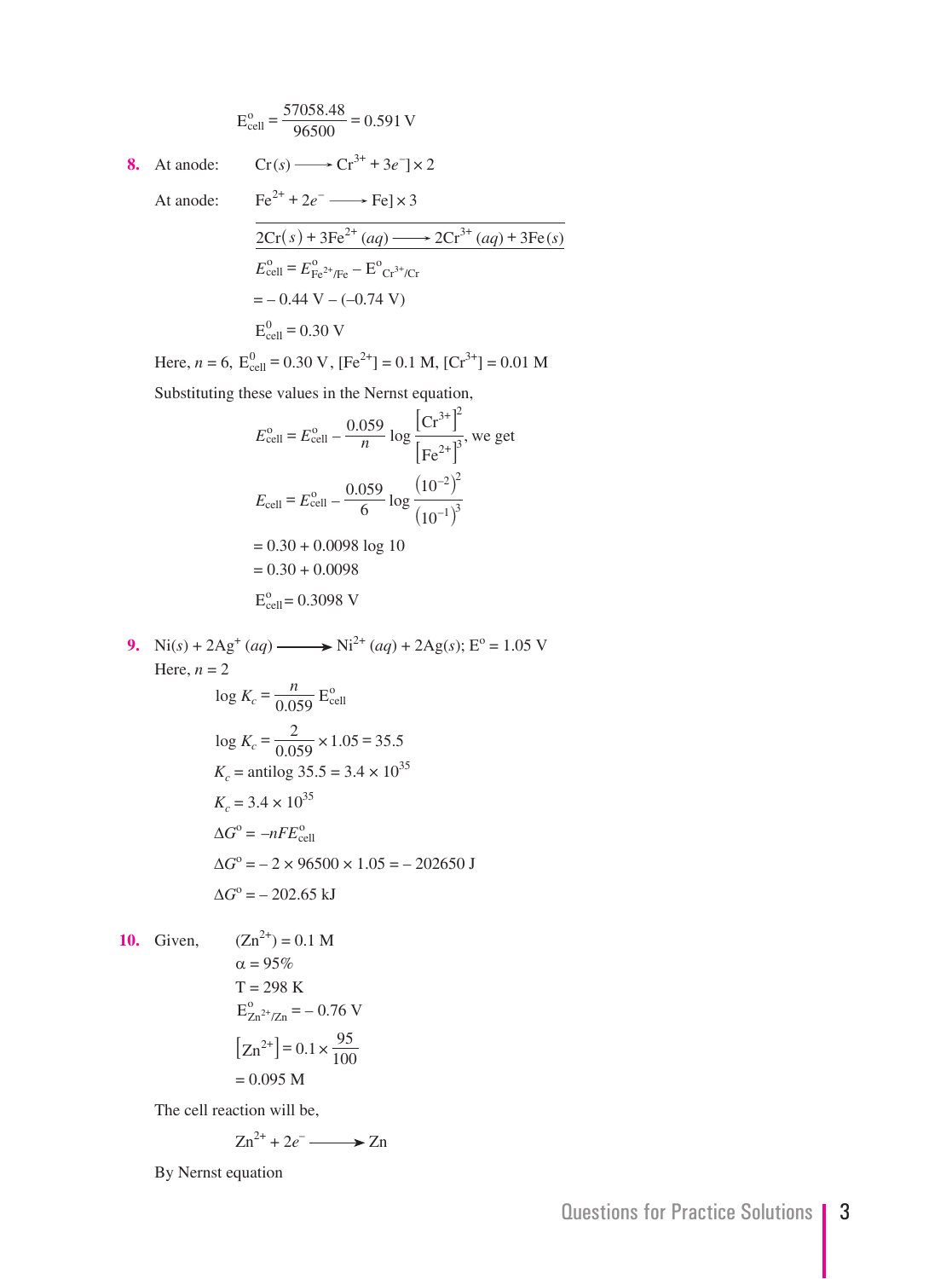$$
E_{cell}^{o} = \frac{57058.48}{96500} = 0.591
$$
 V

8. At anode: 
$$
\text{Cr}(s) \longrightarrow \text{Cr}^{3+} + 3e^- \times 2
$$

At anode: 
$$
Fe^{2+} + 2e^- \longrightarrow Fe] \times 3
$$

$$
\frac{2Cr(s) + 3Fe^{2+} (aq) \longrightarrow 2Cr^{3+} (aq) + 3Fe(s)}{E_{cell}^0 = E_{Fe^{2+}/Fe}^0 - E_{Cr^{3+}/Cr}^0}
$$

$$
= -0.44 \text{ V} - (-0.74 \text{ V})
$$

$$
E_{cell}^0 = 0.30 \text{ V}
$$

Here,  $n = 6$ ,  $E_{cell}^0 = 0.30$  V,  $[Fe^{2+}] = 0.1$  M,  $[Cr^{3+}] = 0.01$  M

Substituting these values in the Nernst equation,

$$
E_{\text{cell}}^{\circ} = E_{\text{cell}}^{\circ} - \frac{0.059}{n} \log \frac{[\text{Cr}^{3+}]^2}{[\text{Fe}^{2+}]^3}, \text{ we get}
$$
  

$$
E_{\text{cell}} = E_{\text{cell}}^{\circ} - \frac{0.059}{6} \log \frac{(10^{-2})^2}{(10^{-1})^3}
$$
  
= 0.30 + 0.0098 log 10  
= 0.30 + 0.0098  

$$
E_{\text{cell}}^{\circ} = 0.3098 \text{ V}
$$

9. Ni(s) + 2Ag<sup>+</sup> (aq) —  
\nHere, 
$$
n = 2
$$
  
\n $\log K_c = \frac{n}{0.059} E_{cell}^0$   
\n $\log K_c = \frac{2}{0.059} \times 1.05 = 35.5$   
\n $K_c$  = antilog 35.5 = 3.4 × 10<sup>35</sup>  
\n $K_c = 3.4 \times 10^{35}$   
\n $\Delta G^\circ = -nFE_{cell}^\circ$   
\n $\Delta G^\circ = -2 \times 96500 \times 1.05 = -202650 \text{ J}$   
\n $\Delta G^\circ = -202.65 \text{ kJ}$ 

**10.** Given,  $(Zn^{2+}) = 0.1 M$ 

$$
T = 298 \text{ K}
$$
  
\n
$$
E_{Zn^{2+}/Zn}^{o} = -0.76 \text{ V}
$$
  
\n
$$
[Zn^{2+}] = 0.1 \times \frac{95}{100}
$$
  
\n= 0.095 M

 $\alpha = 95\%$ 

The cell reaction will be,

$$
Zn^{2+} + 2e^- \longrightarrow Zn
$$

By Nernst equation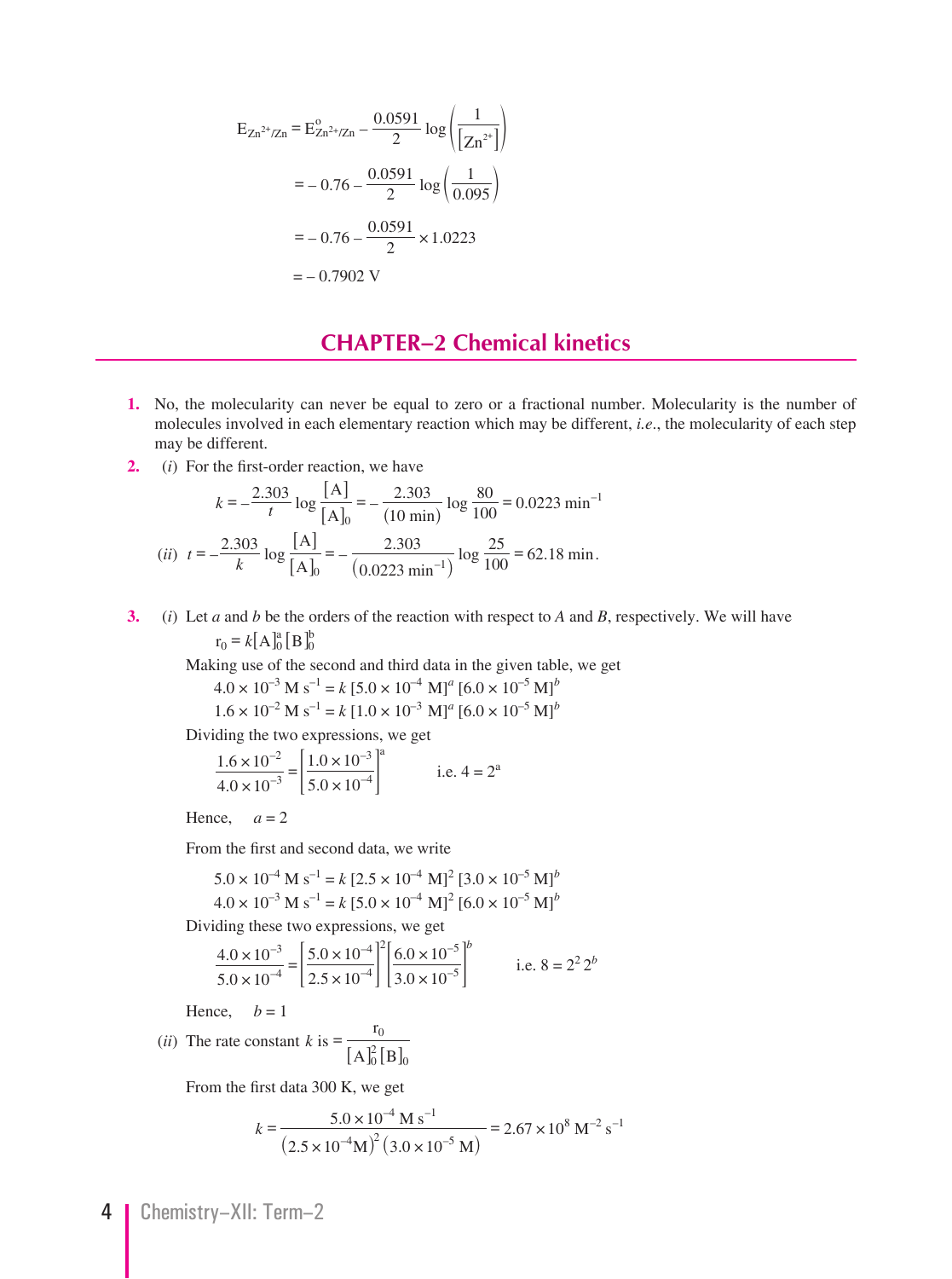$$
E_{Zn^{2+}/Zn} = E_{Zn^{2+}/Zn}^{0.0591} - \frac{0.0591}{2} \log \left( \frac{1}{[Zn^{2+}]} \right)
$$

$$
= -0.76 - \frac{0.0591}{2} \log \left( \frac{1}{0.095} \right)
$$

$$
= -0.76 - \frac{0.0591}{2} \times 1.0223
$$

$$
= -0.7902 \text{ V}
$$

## **CHAPTER–2 Chemical kinetics**

- **1.** No, the molecularity can never be equal to zero or a fractional number. Molecularity is the number of molecules involved in each elementary reaction which may be different, *i.e*., the molecularity of each step may be different.
- **2.** (*i*) For the first-order reaction, we have

$$
k = -\frac{2.303}{t} \log \frac{[A]}{[A]_0} = -\frac{2.303}{(10 \text{ min})} \log \frac{80}{100} = 0.0223 \text{ min}^{-1}
$$
  
(*ii*)  $t = -\frac{2.303}{k} \log \frac{[A]}{[A]_0} = -\frac{2.303}{(0.0223 \text{ min}^{-1})} \log \frac{25}{100} = 62.18 \text{ min.}$ 

 **3.** (*i*) Let *a* and *b* be the orders of the reaction with respect to *A* and *B*, respectively. We will have  $r_0 = k[A]_0^a [B]_0^b$ 

Making use of the second and third data in the given table, we get

 $4.0 \times 10^{-3}$  M s<sup>-1</sup> = k [5.0  $\times 10^{-4}$  M]<sup>a</sup> [6.0  $\times 10^{-5}$  M]<sup>b</sup>  $1.6 \times 10^{-2}$  M s<sup>-1</sup> =  $k [1.0 \times 10^{-3}$  M]<sup>a</sup>  $[6.0 \times 10^{-5}$  M]<sup>b</sup>

Dividing the two expressions, we get

$$
\frac{1.6 \times 10^{-2}}{4.0 \times 10^{-3}} = \left[\frac{1.0 \times 10^{-3}}{5.0 \times 10^{-4}}\right]^{a}
$$
 i.e. 4 = 2<sup>a</sup>

Hence,  $a = 2$ 

From the first and second data, we write

$$
5.0 \times 10^{-4}
$$
 M s<sup>-1</sup> = k [2.5 × 10<sup>-4</sup> M]<sup>2</sup> [3.0 × 10<sup>-5</sup> M]<sup>b</sup>  
4.0 × 10<sup>-3</sup> M s<sup>-1</sup> = k [5.0 × 10<sup>-4</sup> M]<sup>2</sup> [6.0 × 10<sup>-5</sup> M]<sup>b</sup>

Dividing these two expressions, we get

$$
\frac{4.0 \times 10^{-3}}{5.0 \times 10^{-4}} = \left[\frac{5.0 \times 10^{-4}}{2.5 \times 10^{-4}}\right]^2 \left[\frac{6.0 \times 10^{-5}}{3.0 \times 10^{-5}}\right]^b
$$
 i.e. 8 = 2<sup>2</sup>2<sup>b</sup>

Hence,  $b = 1$ 

(*ii*) The rate constant 
$$
k
$$
 is =  $\frac{r_0}{[A]_0^2 [B]_0}$ 

From the first data 300 K, we get

$$
k = \frac{5.0 \times 10^{-4} \text{ M s}^{-1}}{(2.5 \times 10^{-4} \text{M})^2 (3.0 \times 10^{-5} \text{ M})} = 2.67 \times 10^8 \text{ M}^{-2} \text{ s}^{-1}
$$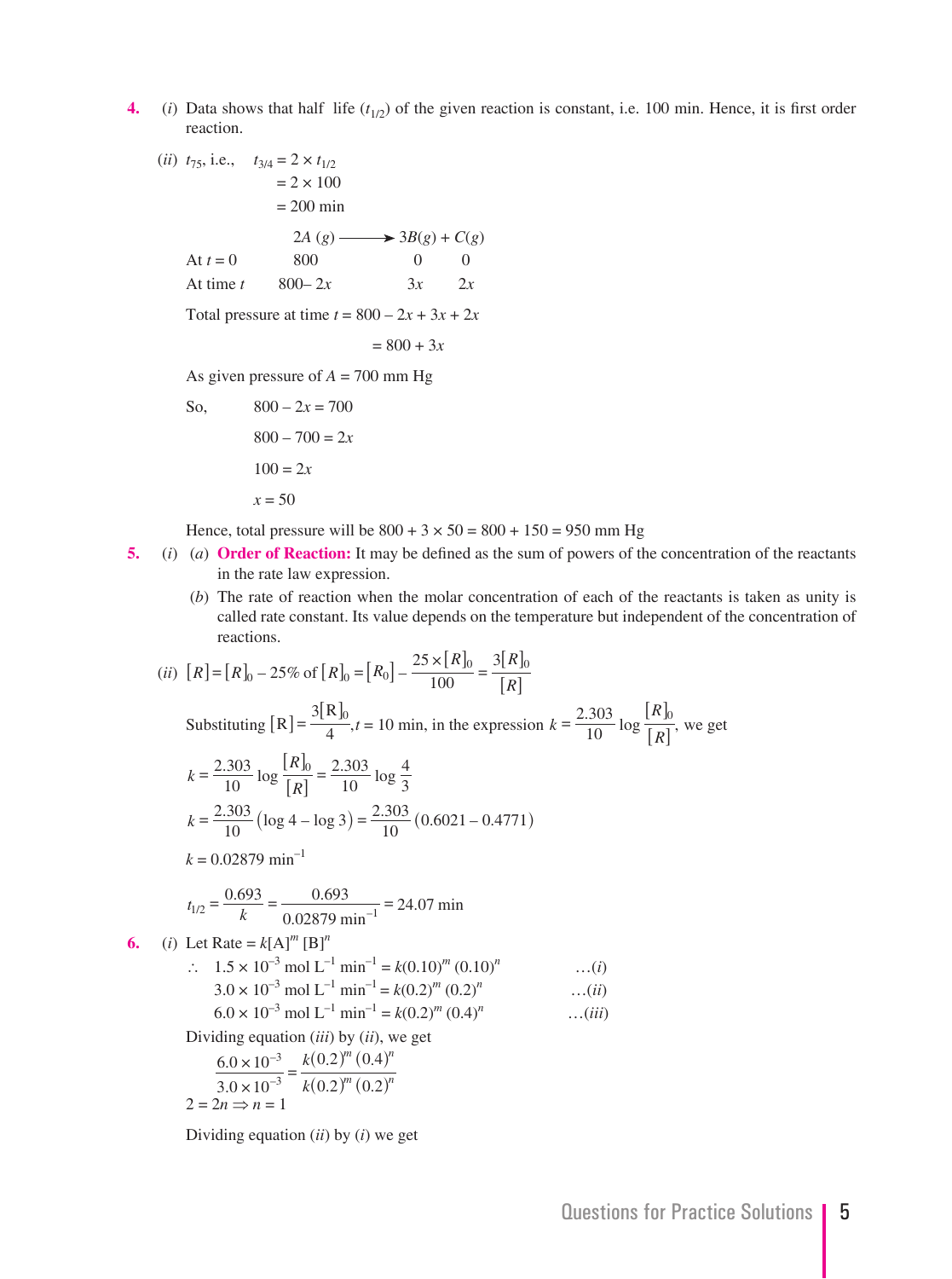- **4.** (*i*) Data shows that half life  $(t_{1/2})$  of the given reaction is constant, i.e. 100 min. Hence, it is first order reaction.
	- (*ii*)  $t_{75}$ , i.e.,  $t_{3/4} = 2 \times t_{1/2}$  $= 2 \times 100$  = 200 min  $2A(g) \longrightarrow 3B(g) + C(g)$ At  $t = 0$  800 0 0 At time *t*  $800 - 2x$   $3x$   $2x$ Total pressure at time  $t = 800 - 2x + 3x + 2x$  $= 800 + 3x$ As given pressure of  $A = 700$  mm Hg So,  $800 - 2x = 700$

 $800 - 700 = 2x$  $100 = 2x$  $x = 50$ 

Hence, total pressure will be  $800 + 3 \times 50 = 800 + 150 = 950$  mm Hg

- **5.** (*i*) (*a*) **Order of Reaction:** It may be defined as the sum of powers of the concentration of the reactants in the rate law expression.
	- (*b*) The rate of reaction when the molar concentration of each of the reactants is taken as unity is called rate constant. Its value depends on the temperature but independent of the concentration of reactions.

(ii) 
$$
[R] = [R]_0 - 25\% \text{ of } [R]_0 = [R_0] - \frac{25 \times [R]_0}{100} = \frac{3[R]_0}{[R]}
$$
  
\nSubstituting  $[R] = \frac{3[R]_0}{4}$ ,  $t = 10$  min, in the expression  $k = \frac{2.303}{10} \log \frac{[R]_0}{[R]}$ , we get  
\n $k = \frac{2.303}{10} \log \frac{[R]_0}{[R]} = \frac{2.303}{10} \log \frac{4}{3}$   
\n $k = \frac{2.303}{10} (\log 4 - \log 3) = \frac{2.303}{10} (0.6021 - 0.4771)$   
\n $k = 0.02879 \text{ min}^{-1}$   
\n $t_{1/2} = \frac{0.693}{k} = \frac{0.693}{0.02879 \text{ min}^{-1}} = 24.07 \text{ min}$   
\n6. (i) Let Rate =  $k[A]^m [B]^n$   
\n $\therefore 1.5 \times 10^{-3} \text{ mol L}^{-1} \text{ min}^{-1} = k(0.10)^m (0.10)^n$  ...(i)  
\n $3.0 \times 10^{-3} \text{ mol L}^{-1} \text{ min}^{-1} = k(0.2)^m (0.2)^n$  ...(ii)  
\n $6.0 \times 10^{-3} \text{ mol L}^{-1} \text{ min}^{-1} = k(0.2)^m (0.4)^n$  ...(iii)  
\nDividing equation (iii) by (ii), we get  
\n $\frac{6.0 \times 10^{-3}}{3.0 \times 10^{-3}} = \frac{k(0.2)^m (0.4)^n}{k(0.2)^m (0.2)^n}$   
\n $2 = 2n \Rightarrow n = 1$ 

Dividing equation (*ii*) by (*i*) we get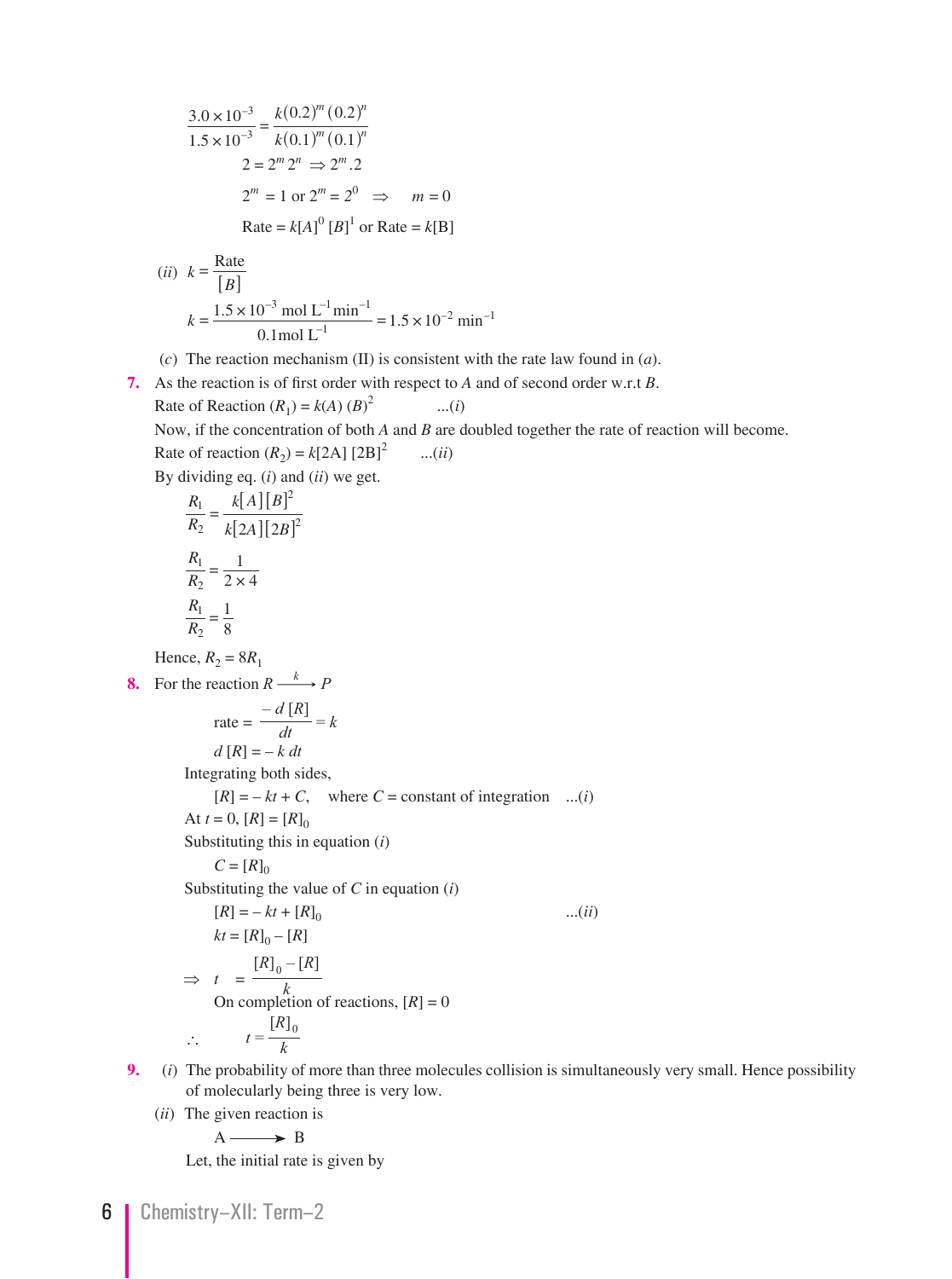$$
\frac{3.0 \times 10^{-3}}{1.5 \times 10^{-3}} = \frac{k(0.2)^m (0.2)^n}{k(0.1)^m (0.1)^n}
$$
  
2 = 2<sup>m</sup> 2<sup>n</sup>  $\Rightarrow$  2<sup>m</sup> .2  
2<sup>m</sup> = 1 or 2<sup>m</sup> = 2<sup>0</sup>  $\Rightarrow$   $m = 0$   
Rate = k[A]<sup>0</sup> [B]<sup>1</sup> or Rate = k[B]

(*ii*) 
$$
k = \frac{\text{Rate}}{[B]}
$$
  

$$
k = \frac{1.5 \times 10^{-3} \text{ mol L}^{-1} \text{min}^{-1}}{0.1 \text{ mol L}^{-1}} = 1.5 \times 10^{-2} \text{ min}^{-1}
$$

- (*c*) The reaction mechanism (II) is consistent with the rate law found in (*a*).
- **7.** As the reaction is of first order with respect to *A* and of second order w.r.t *B*. Rate of Reaction  $(R_1) = k(A) (B)^2$ ...(*i*)

Now, if the concentration of both *A* and *B* are doubled together the rate of reaction will become.

Rate of reaction  $(R_2) = k[2A][2B]^2$  ...(*ii*) By dividing eq. (*i*) and (*ii*) we get.

$$
\frac{R_1}{R_2} = \frac{k[A][B]^2}{k[2A][2B]^2}
$$

$$
\frac{R_1}{R_2} = \frac{1}{2 \times 4}
$$

$$
\frac{R_1}{R_2} = \frac{1}{8}
$$

Hence,  $R_2 = 8R_1$ 

**8.** For the reaction  $R \xrightarrow{k} P$ 

$$
\text{rate} = \frac{-d [R]}{dt} = k
$$

$$
d [R] = -k dt
$$

Integrating both sides,

 $[R] = -kt + C$ , where  $C = \text{constant}$  of integration ...(*i*)

At  $t = 0$ ,  $[R] = [R]_0$ 

Substituting this in equation (*i*)

$$
C = [R]_0
$$

Substituting the value of *C* in equation (*i*)

$$
[R] = -kt + [R]_0
$$
...(ii)  
\n
$$
kt = [R]_0 - [R]
$$
  
\n⇒  $t = \frac{[R]_0 - [R]}{k}$   
\nOn completion of reactions,  $[R] = 0$   
\n∴  $t = \frac{[R]_0}{k}$ 

- **9.** (*i*) The probability of more than three molecules collision is simultaneously very small. Hence possibility of molecularly being three is very low.
	- (*ii*) The given reaction is

$$
A \longrightarrow B
$$

Let, the initial rate is given by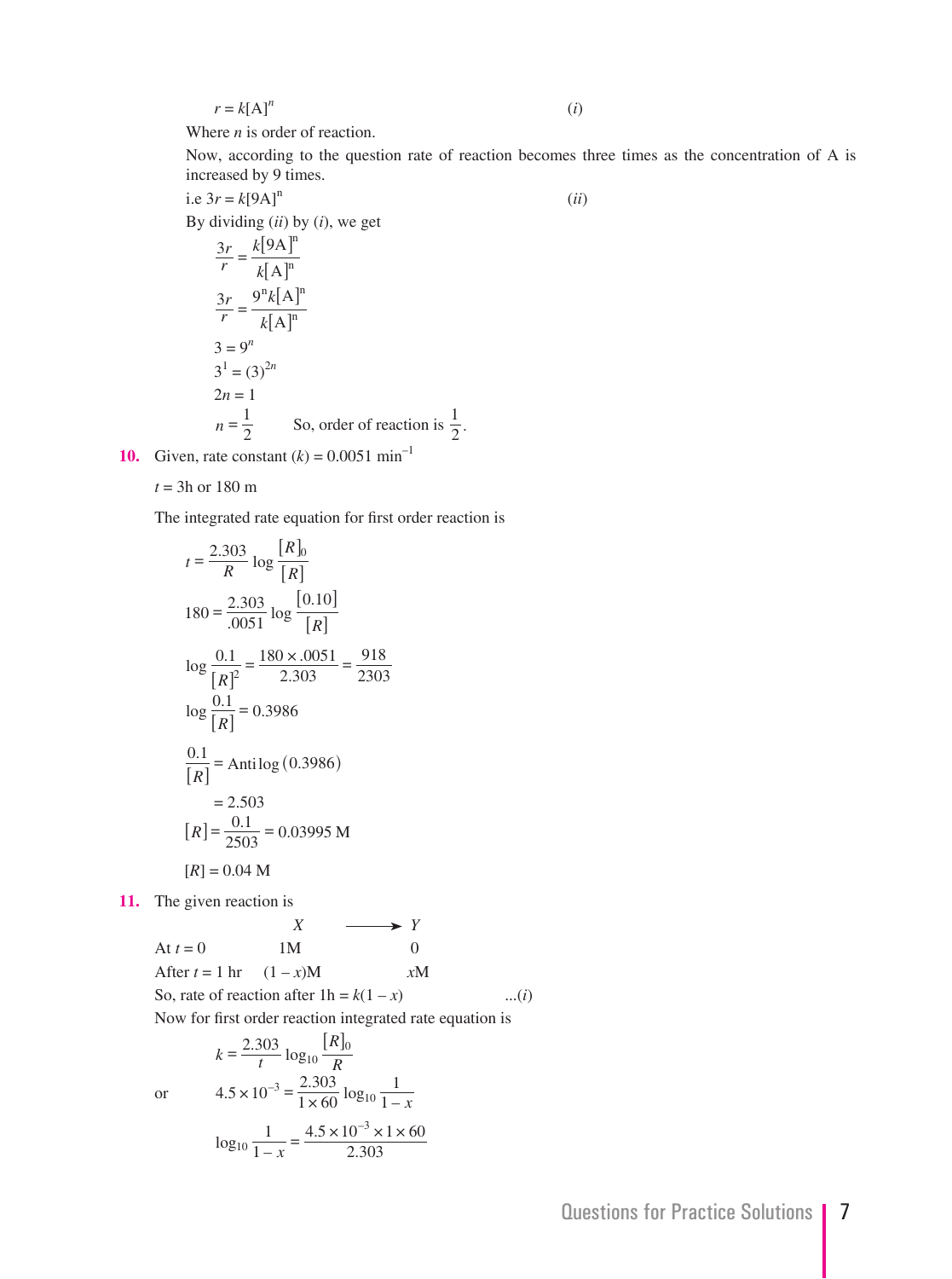$$
r = k[A]^n
$$

(*i*)

Where *n* is order of reaction.

 Now, according to the question rate of reaction becomes three times as the concentration of A is increased by 9 times.

i.e  $3r = k[9A]$ <sup>n</sup> (*ii*)

By dividing (*ii*) by (*i*), we get

$$
\frac{3r}{r} = \frac{k[9A]^n}{k[A]^n}
$$
  

$$
\frac{3r}{r} = \frac{9^n k[A]^n}{k[A]^n}
$$
  

$$
3 = 9^n
$$
  

$$
3^1 = (3)^{2n}
$$
  

$$
2n = 1
$$
  

$$
n = \frac{1}{2}
$$
 So, order of reaction is  $\frac{1}{2}$ .

**10.** Given, rate constant  $(k) = 0.0051 \text{ min}^{-1}$ 

$$
t = 3h
$$
 or 180 m

The integrated rate equation for first order reaction is

$$
t = \frac{2.303}{R} \log \frac{R_0}{[R]}
$$
  
\n
$$
180 = \frac{2.303}{.0051} \log \frac{[0.10]}{[R]}
$$
  
\n
$$
\log \frac{0.1}{[R]^2} = \frac{180 \times .0051}{2.303} = \frac{918}{2303}
$$
  
\n
$$
\log \frac{0.1}{[R]} = 0.3986
$$
  
\n
$$
\frac{0.1}{[R]} = \text{Antilog } (0.3986)
$$
  
\n
$$
= 2.503
$$
  
\n
$$
[R] = \frac{0.1}{2503} = 0.03995 \text{ M}
$$
  
\n
$$
[R] = 0.04 \text{ M}
$$

**11.** The given reaction is

 *X Y* At  $t = 0$  1M 0 After  $t = 1$  hr  $(1 - x)M$  *xM* So, rate of reaction after  $1h = k(1 - x)$  ...(*i*) Now for first order reaction integrated rate equation is

$$
k = \frac{2.303}{t} \log_{10} \frac{|R|_0}{R}
$$
  
or 
$$
4.5 \times 10^{-3} = \frac{2.303}{1 \times 60} \log_{10} \frac{1}{1 - x}
$$

$$
\log_{10} \frac{1}{1 - x} = \frac{4.5 \times 10^{-3} \times 1 \times 60}{2.303}
$$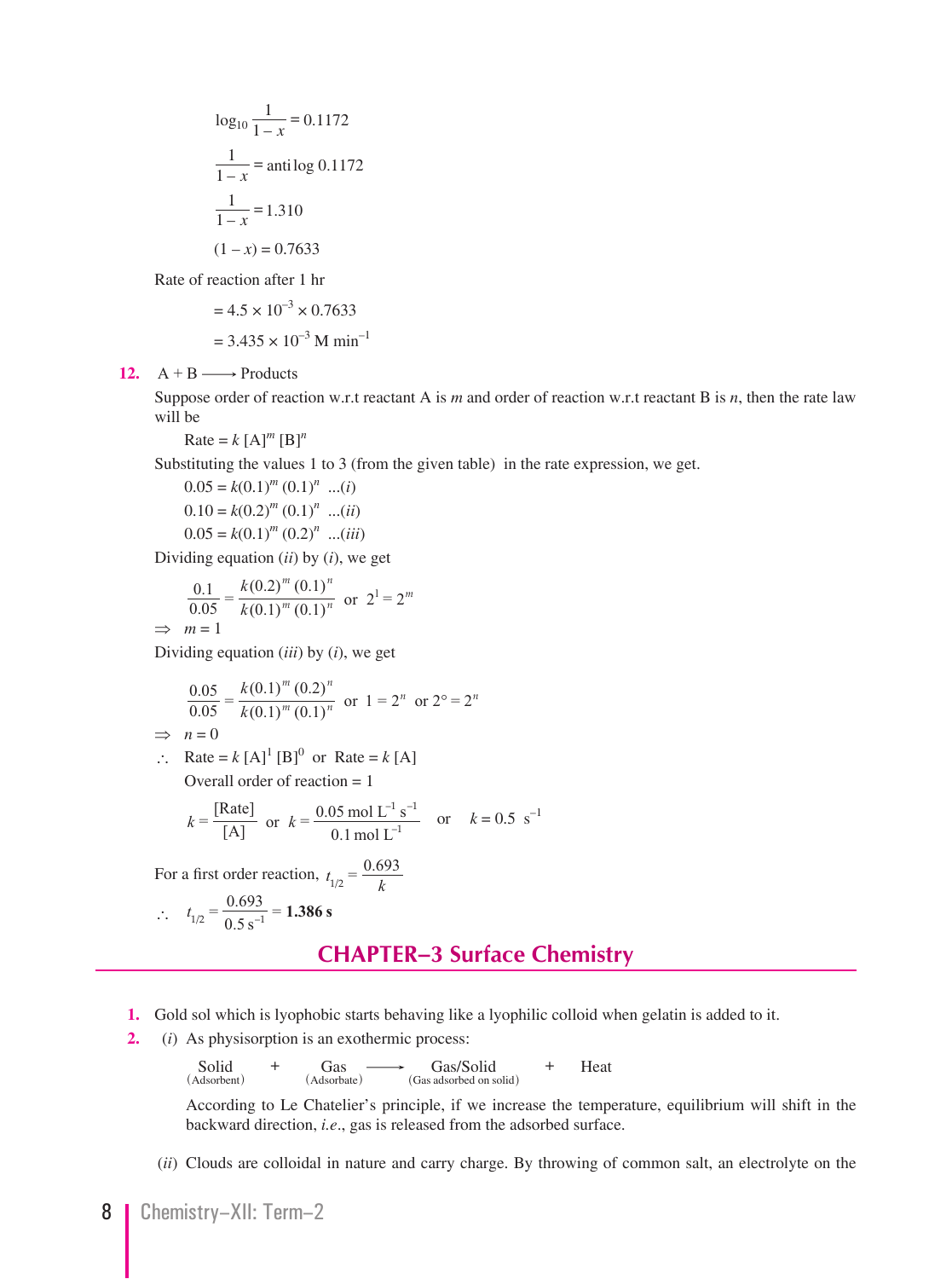$$
\log_{10} \frac{1}{1-x} = 0.1172
$$

$$
\frac{1}{1-x} = \text{anti log } 0.1172
$$

$$
\frac{1}{1-x} = 1.310
$$

$$
(1-x) = 0.7633
$$

Rate of reaction after 1 hr

$$
= 4.5 \times 10^{-3} \times 0.7633
$$

$$
= 3.435 \times 10^{-3} \text{ M min}^{-1}
$$

12.  $A + B \longrightarrow$  Products

Suppose order of reaction w.r.t reactant A is *m* and order of reaction w.r.t reactant B is *n*, then the rate law will be

Rate =  $k$  [A]<sup>*m*</sup> [B]<sup>*n*</sup>

Substituting the values 1 to 3 (from the given table) in the rate expression, we get.

 $0.05 = k(0.1)^m (0.1)^n$  ...(*i*)  $0.10 = k(0.2)^m (0.1)^n$  ...(*ii*)  $0.05 = k(0.1)^m (0.2)^n$  ...(*iii*)

Dividing equation (*ii*) by (*i*), we get

$$
\frac{0.1}{0.05} = \frac{k(0.2)^m (0.1)^n}{k(0.1)^m (0.1)^n}
$$
 or  $2^1 = 2^m$   
\n $\implies m = 1$ 

Dividing equation (*iii*) by (*i*), we get

$$
\frac{0.05}{0.05} = \frac{k(0.1)^m (0.2)^n}{k(0.1)^m (0.1)^n}
$$
 or  $1 = 2^n$  or  $2^\circ = 2^n$ 

$$
\implies n = 0
$$

$$
\therefore \quad \text{Rate} = k \, [\text{A}]^1 \, [\text{B}]^0 \text{ or } \text{Rate} = k \, [\text{A}]
$$
\n
$$
\text{Overall order of reaction} = 1
$$

$$
k =
$$
  $\frac{\text{[Rate]}}{\text{[A]}}$  or  $k = \frac{0.05 \text{ mol L}^{-1} \text{ s}^{-1}}{0.1 \text{ mol L}^{-1}}$  or  $k = 0.5 \text{ s}^{-1}$ 

For a first order reaction,  $t_{1/2} = \frac{0.693}{k}$ 

$$
\therefore t_{1/2} = \frac{0.693}{0.5 \text{ s}^{-1}} = 1.386 \text{ s}
$$

#### **CHAPTER–3 Surface Chemistry**

- **1.** Gold sol which is lyophobic starts behaving like a lyophilic colloid when gelatin is added to it.
- **2.** (*i*) As physisorption is an exothermic process:

 $\text{Solid}$  +  $\text{Gas}$   $\longrightarrow$   $\text{Gas/Solid}$  + Heat  $\text{(Assorbed on solid)}$ (Adsorbent) (Adsorbate) (Gas adsorbed on solid)

> According to Le Chatelier's principle, if we increase the temperature, equilibrium will shift in the backward direction, *i.e*., gas is released from the adsorbed surface.

(*ii*) Clouds are colloidal in nature and carry charge. By throwing of common salt, an electrolyte on the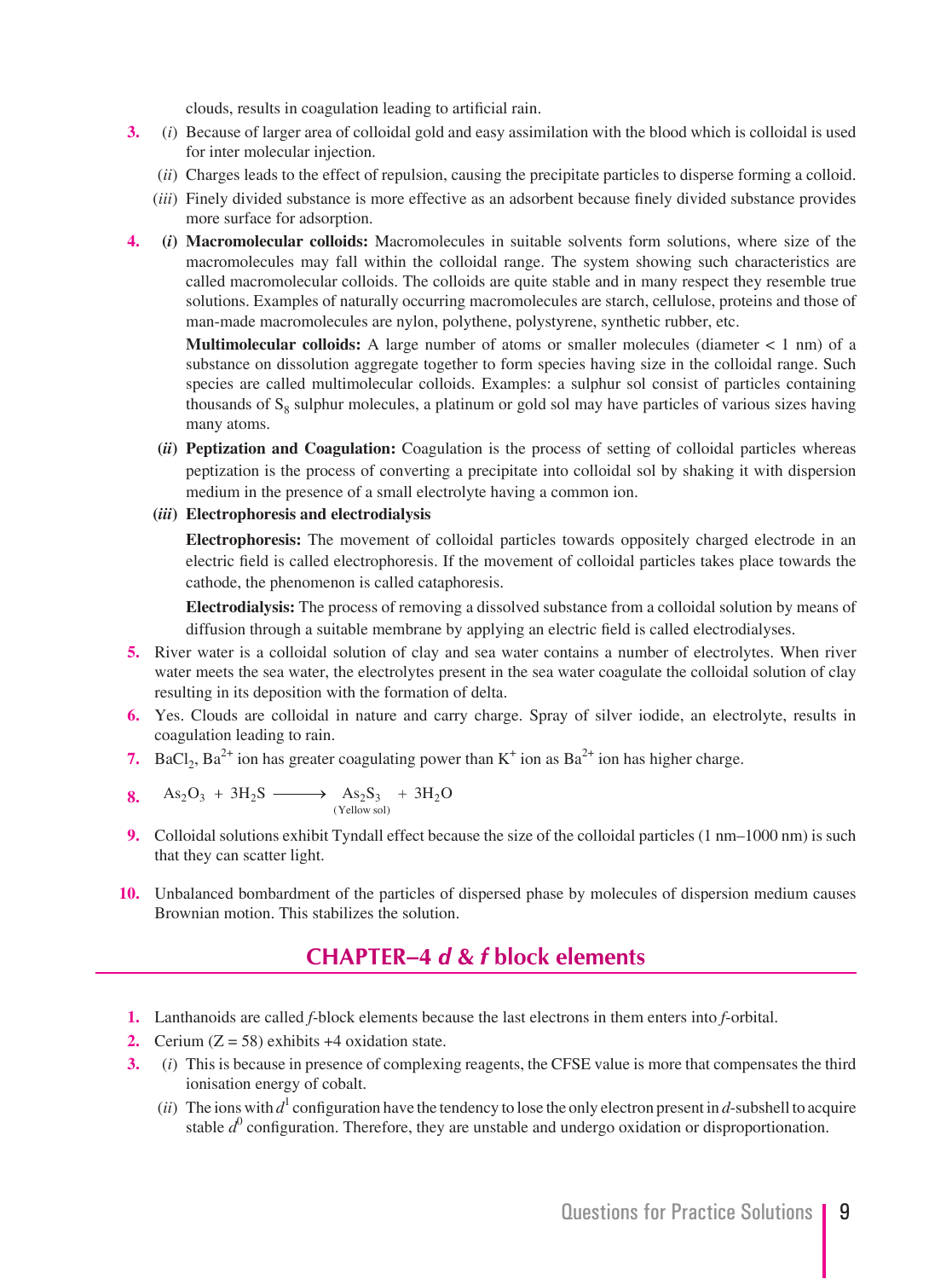clouds, results in coagulation leading to artificial rain.

- **3.** (*i*) Because of larger area of colloidal gold and easy assimilation with the blood which is colloidal is used for inter molecular injection.
	- (*ii*) Charges leads to the effect of repulsion, causing the precipitate particles to disperse forming a colloid.
	- (*iii*) Finely divided substance is more effective as an adsorbent because finely divided substance provides more surface for adsorption.
- **4. (***i***) Macromolecular colloids:** Macromolecules in suitable solvents form solutions, where size of the macromolecules may fall within the colloidal range. The system showing such characteristics are called macromolecular colloids. The colloids are quite stable and in many respect they resemble true solutions. Examples of naturally occurring macromolecules are starch, cellulose, proteins and those of man-made macromolecules are nylon, polythene, polystyrene, synthetic rubber, etc.

 **Multimolecular colloids:** A large number of atoms or smaller molecules (diameter < 1 nm) of a substance on dissolution aggregate together to form species having size in the colloidal range. Such species are called multimolecular colloids. Examples: a sulphur sol consist of particles containing thousands of  $S_8$  sulphur molecules, a platinum or gold sol may have particles of various sizes having many atoms.

- **(***ii***) Peptization and Coagulation:** Coagulation is the process of setting of colloidal particles whereas peptization is the process of converting a precipitate into colloidal sol by shaking it with dispersion medium in the presence of a small electrolyte having a common ion.
- **(***iii***) Electrophoresis and electrodialysis**

 **Electrophoresis:** The movement of colloidal particles towards oppositely charged electrode in an electric field is called electrophoresis. If the movement of colloidal particles takes place towards the cathode, the phenomenon is called cataphoresis.

 **Electrodialysis:** The process of removing a dissolved substance from a colloidal solution by means of diffusion through a suitable membrane by applying an electric field is called electrodialyses.

- **5.** River water is a colloidal solution of clay and sea water contains a number of electrolytes. When river water meets the sea water, the electrolytes present in the sea water coagulate the colloidal solution of clay resulting in its deposition with the formation of delta.
- **6.** Yes. Clouds are colloidal in nature and carry charge. Spray of silver iodide, an electrolyte, results in coagulation leading to rain.
- **7.** BaCl<sub>2</sub>, Ba<sup>2+</sup> ion has greater coagulating power than  $K^+$  ion as Ba<sup>2+</sup> ion has higher charge.

$$
\textbf{8.} \quad \text{As}_2\text{O}_3 \ + \ 3\text{H}_2\text{S} \ \xrightarrow{\hspace{0.5cm}} \text{As}_2\text{S}_3 \ + \ 3\text{H}_2\text{O}
$$

- **9.** Colloidal solutions exhibit Tyndall effect because the size of the colloidal particles (1 nm–1000 nm) is such that they can scatter light.
- **10.** Unbalanced bombardment of the particles of dispersed phase by molecules of dispersion medium causes Brownian motion. This stabilizes the solution.

## **CHAPTER–4** *d* **&** *f* **block elements**

- **1.** Lanthanoids are called *f*-block elements because the last electrons in them enters into *f*-orbital.
- **2.** Cerium  $(Z = 58)$  exhibits  $+4$  oxidation state.
- **3.** (*i*) This is because in presence of complexing reagents, the CFSE value is more that compensates the third ionisation energy of cobalt.
- (*ii*) The ions with  $d^1$  configuration have the tendency to lose the only electron present in  $d$ -subshell to acquire stable  $d^0$  configuration. Therefore, they are unstable and undergo oxidation or disproportionation.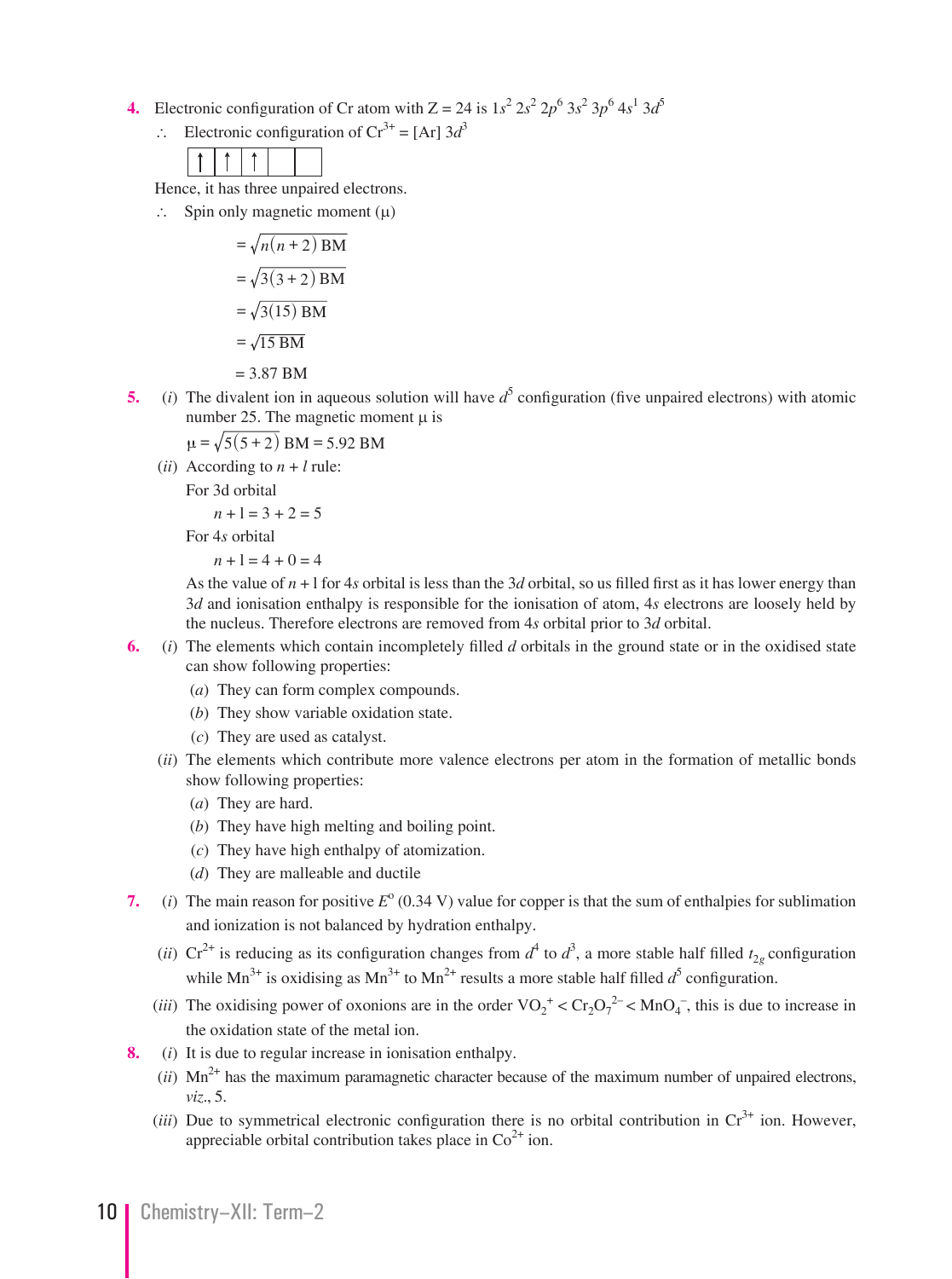- **4.** Electronic configuration of Cr atom with  $Z = 24$  is  $1s^2 2s^2 2p^6 3s^2 3p^6 4s^1 3d^5$ 
	- ∴ Electronic configuration of  $Cr^{3+} = [Ar]$  3*d*<sup>3</sup>

|--|--|--|--|

Hence, it has three unpaired electrons.

∴ Spin only magnetic moment  $(\mu)$ 

$$
= \sqrt{n(n+2) \text{ BM}}
$$

$$
= \sqrt{3(3+2) \text{ BM}}
$$

$$
= \sqrt{3(15) \text{ BM}}
$$

$$
= \sqrt{15 \text{ BM}}
$$

= 3.87 BM

**5.** (*i*) The divalent ion in aqueous solution will have  $d^5$  configuration (five unpaired electrons) with atomic number 25. The magnetic moment  $\mu$  is

$$
\mu = \sqrt{5(5+2)}
$$
 BM = 5.92 BM

(*ii*) According to  $n + l$  rule:

For 3d orbital

$$
n + 1 = 3 + 2 = 5
$$

For 4*s* orbital

$$
n+1=4+0=4
$$

As the value of  $n + 1$  for 4*s* orbital is less than the 3*d* orbital, so us filled first as it has lower energy than 3*d* and ionisation enthalpy is responsible for the ionisation of atom, 4*s* electrons are loosely held by the nucleus. Therefore electrons are removed from 4*s* orbital prior to 3*d* orbital.

- **6.** (*i*) The elements which contain incompletely filled *d* orbitals in the ground state or in the oxidised state can show following properties:
	- (*a*) They can form complex compounds.
	- (*b*) They show variable oxidation state.
	- (*c*) They are used as catalyst.
	- (*ii*) The elements which contribute more valence electrons per atom in the formation of metallic bonds show following properties:
		- (*a*) They are hard.
		- (*b*) They have high melting and boiling point.
		- (*c*) They have high enthalpy of atomization.
		- (*d*) They are malleable and ductile
- **7.** (*i*) The main reason for positive  $E^{\circ}$  (0.34 V) value for copper is that the sum of enthalpies for sublimation and ionization is not balanced by hydration enthalpy.
- (*ii*)  $Cr^{2+}$  is reducing as its configuration changes from  $d^4$  to  $d^3$ , a more stable half filled  $t_{2g}$  configuration while  $\text{Mn}^{3+}$  is oxidising as  $\text{Mn}^{3+}$  to  $\text{Mn}^{2+}$  results a more stable half filled  $d^5$  configuration.
- (*iii*) The oxidising power of oxonions are in the order  $VO_2^+ < Cr_2O_7^{2-} < MnO_4^-$ , this is due to increase in the oxidation state of the metal ion.
	- **8.** (*i*) It is due to regular increase in ionisation enthalpy.
		- $(iii)$  Mn<sup>2+</sup> has the maximum paramagnetic character because of the maximum number of unpaired electrons, *viz*., 5.
		- (*iii*) Due to symmetrical electronic configuration there is no orbital contribution in  $Cr<sup>3+</sup>$  ion. However, appreciable orbital contribution takes place in  $Co<sup>2+</sup>$  ion.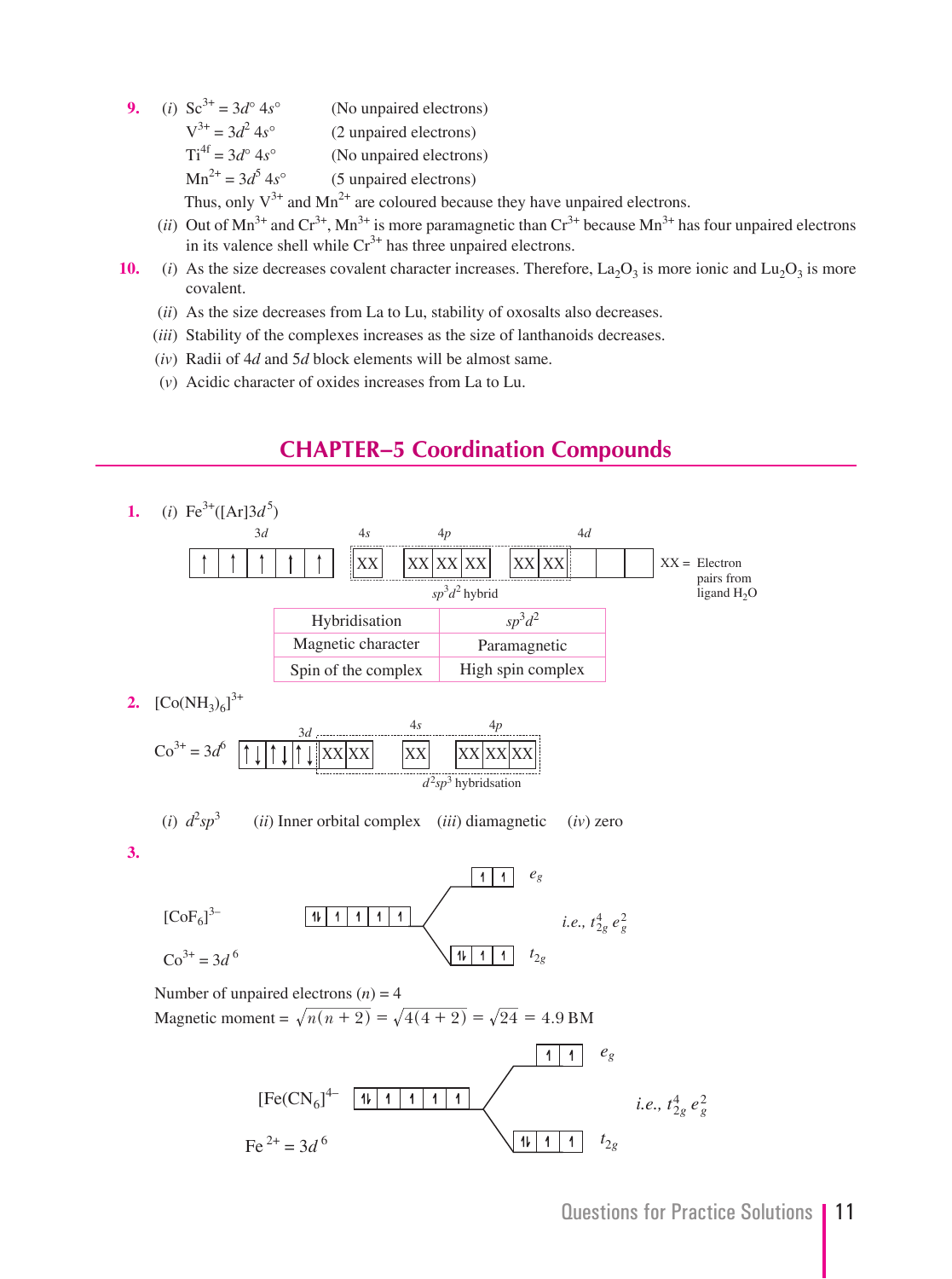- **9.** (*i*)  $Sc^{3+} = 3d^{\circ} 4s^{\circ}$  (No unpaired electrons)
	- $V^{3+} = 3d^2 4s^{\circ}$  4*s*° (2 unpaired electrons)
		- $Ti<sup>4f</sup> = 3d<sup>o</sup> 4s<sup>o</sup>$  (No unpaired electrons)
	- $Mn^{2+} = 3d^5 4s^{\circ}$ 4*s*° (5 unpaired electrons)

Thus, only  $V^{3+}$  and Mn<sup>2+</sup> are coloured because they have unpaired electrons.

- (*ii*) Out of  $Mn^{3+}$  and  $Cr^{3+}$ ,  $Mn^{3+}$  is more paramagnetic than  $Cr^{3+}$  because  $Mn^{3+}$  has four unpaired electrons in its valence shell while  $Cr^{3+}$  has three unpaired electrons.
- **10.** (*i*) As the size decreases covalent character increases. Therefore,  $La<sub>2</sub>O<sub>3</sub>$  is more ionic and  $Lu<sub>2</sub>O<sub>3</sub>$  is more covalent.
	- (*ii*) As the size decreases from La to Lu, stability of oxosalts also decreases.
	- (*iii*) Stability of the complexes increases as the size of lanthanoids decreases.
	- (*iv*) Radii of 4*d* and 5*d* block elements will be almost same.
	- (*v*) Acidic character of oxides increases from La to Lu.

# **CHAPTER–5 Coordination Compounds**

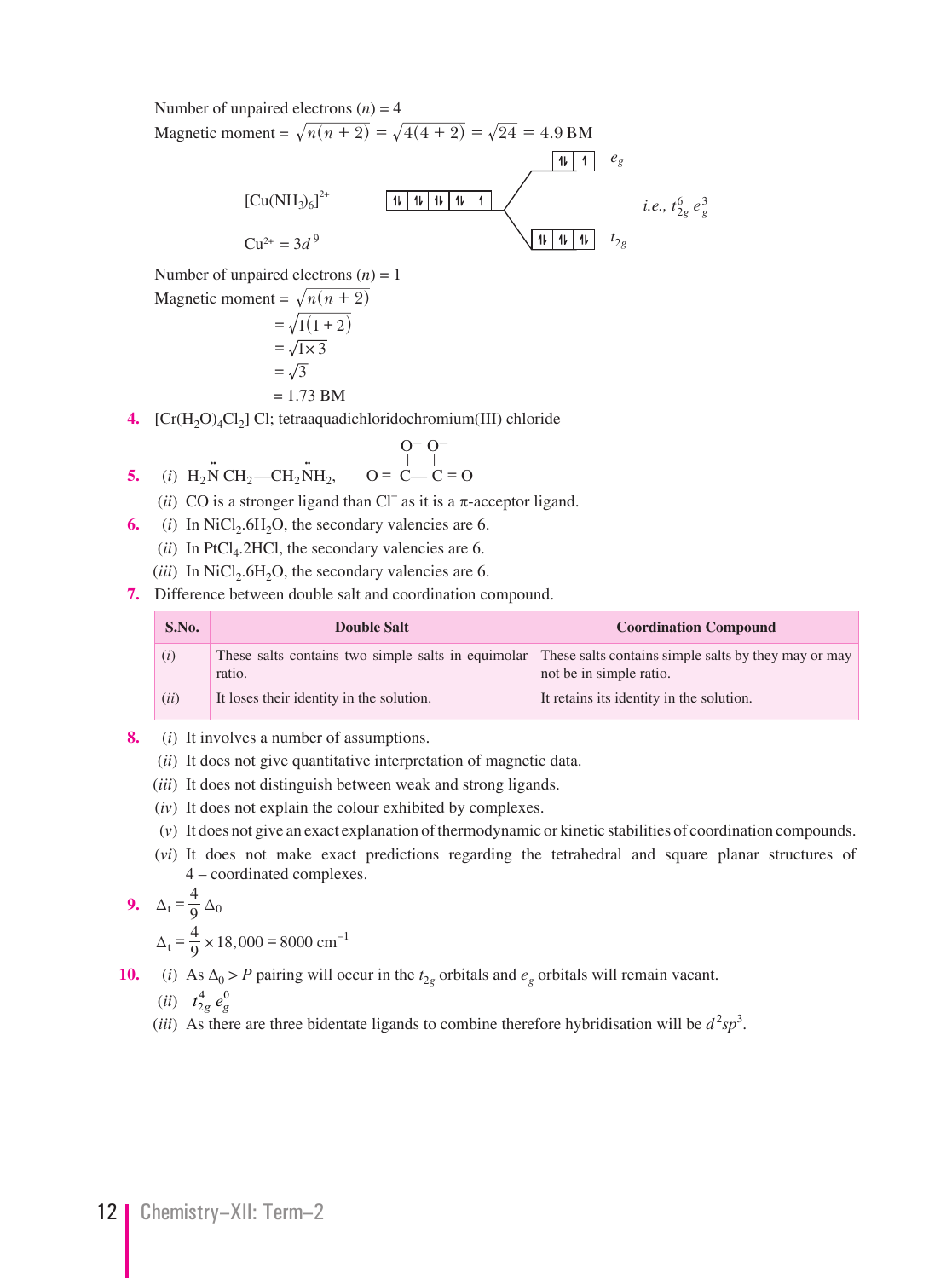Number of unpaired electrons  $(n) = 4$ Magnetic moment =  $\sqrt{n(n + 2)} = \sqrt{4(4 + 2)} = \sqrt{24} = 4.9 \text{ BM}$  $\boxed{1\ \ 1}$   $e_g$  $11111111111$  $[Cu(NH<sub>3</sub>)<sub>6</sub>]<sup>2+</sup>$ *i.e.,*  $t_{2g}^6 e_g^3$ 

> *t* 2*g*

 $Cu^{2+} = 3d^{9}$ Number of unpaired electrons  $(n) = 1$ 

Magnetic moment = 
$$
\sqrt{n(n+2)}
$$
  
=  $\sqrt{1(1+2)}$   
=  $\sqrt{1 \times 3}$   
=  $\sqrt{3}$   
= 1.73 BM

**4.** [Cr(H<sub>2</sub>O)<sub>4</sub>Cl<sub>2</sub>] Cl; tetraaquadichloridochromium(III) chloride

5. (i) 
$$
H_2NCH_2-CH_2NH_2
$$
,  $O = C-C=O$ 

- (*ii*) CO is a stronger ligand than Cl<sup>–</sup> as it is a  $\pi$ -acceptor ligand.
	- **6.** (*i*) In NiCl<sub>2</sub>.6H<sub>2</sub>O, the secondary valencies are 6.
		- $(ii)$  In PtCl<sub>4</sub>.2HCl, the secondary valencies are 6.
		- ( $iii$ ) In NiCl<sub>2</sub>.6H<sub>2</sub>O, the secondary valencies are 6.
	- **7.** Difference between double salt and coordination compound.

| S.No. | <b>Double Salt</b>                                           | <b>Coordination Compound</b>                                                    |
|-------|--------------------------------------------------------------|---------------------------------------------------------------------------------|
| (i)   | These salts contains two simple salts in equimolar<br>ratio. | These salts contains simple salts by they may or may<br>not be in simple ratio. |
| (ii)  | It loses their identity in the solution.                     | It retains its identity in the solution.                                        |

- **8.** (*i*) It involves a number of assumptions.
	- (*ii*) It does not give quantitative interpretation of magnetic data.
	- (*iii*) It does not distinguish between weak and strong ligands.
	- (*iv*) It does not explain the colour exhibited by complexes.
	- (*v*) It does not give an exact explanation of thermodynamic or kinetic stabilities of coordination compounds.
	- (*vi*) It does not make exact predictions regarding the tetrahedral and square planar structures of 4 – coordinated complexes.

$$
9. \quad \Delta_t = \frac{4}{9} \Delta_0
$$

 $\Delta_t = \frac{4}{9} \times 18,000 = 8000 \text{ cm}^{-1}$ 

**10.** (*i*) As  $\Delta_0 > P$  pairing will occur in the  $t_{2g}$  orbitals and  $e_g$  orbitals will remain vacant.

 $(ii)$   $t_{2g}^4 e_g^0$ 

(*iii*) As there are three bidentate ligands to combine therefore hybridisation will be  $d^2sp^3$ .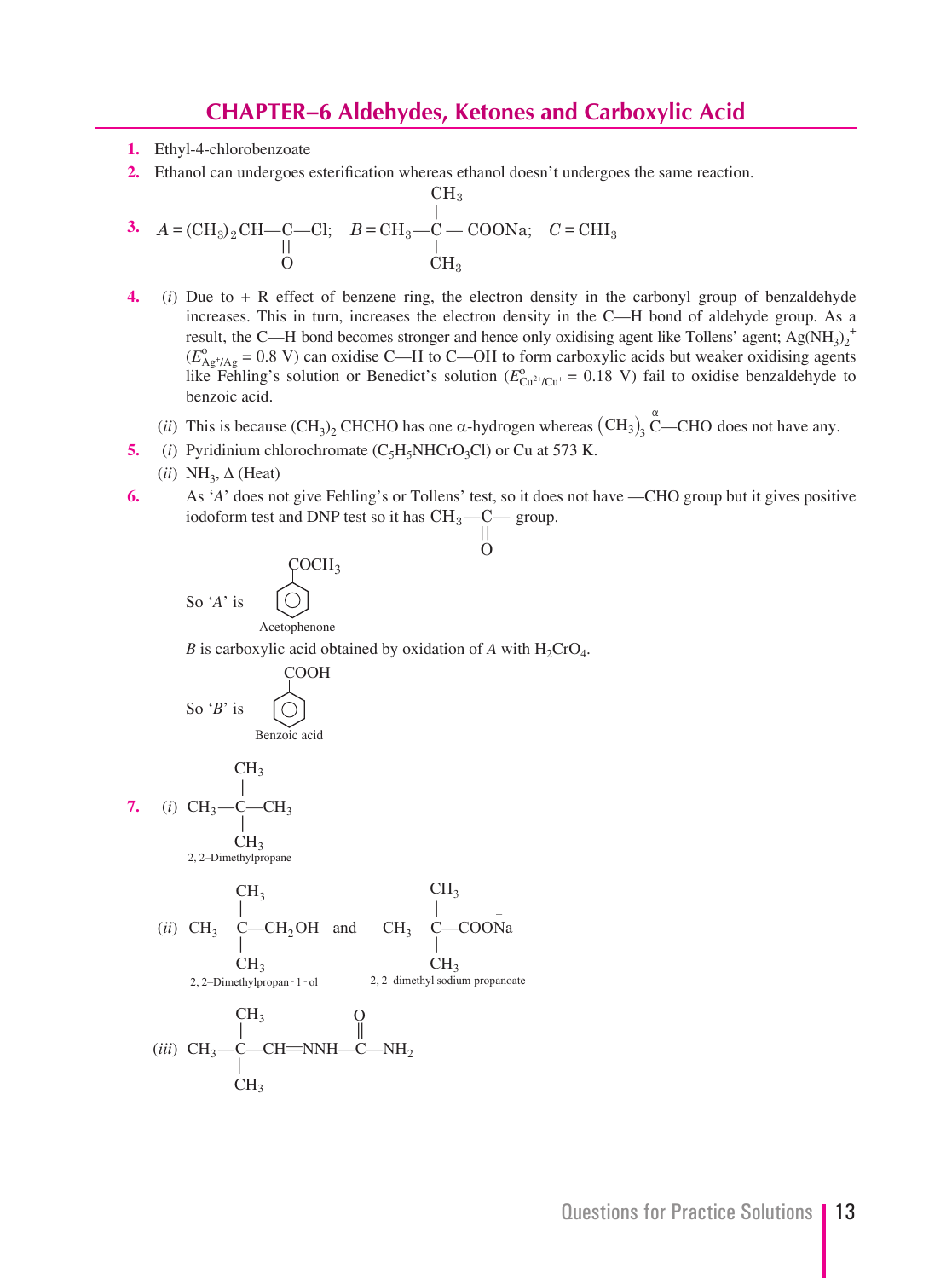#### **CHAPTER–6 Aldehydes, Ketones and Carboxylic Acid**

- **1.** Ethyl-4-chlorobenzoate
- **2.** Ethanol can undergoes esterification whereas ethanol doesn't undergoes the same reaction.  $\rm CH_{3}$

3. 
$$
A = (CH_3)_2 CH - C - Cl;
$$
  $B = CH_3 - C - COONa;$   $C = CHI_3$   
\n $\begin{array}{ccc}\n & | & | & \text{C} \\
 & | & | & \text{C} \\
 & | & | & \text{C} \\
 & | & | & \text{C} \\
\end{array}$ 

- **4.** (*i*) Due to + R effect of benzene ring, the electron density in the carbonyl group of benzaldehyde increases. This in turn, increases the electron density in the C—H bond of aldehyde group. As a result, the C—H bond becomes stronger and hence only oxidising agent like Tollens' agent;  $Ag(NH_3)_2^+$  $(E_{\text{Ag}^{+}/\text{Ag}}^{0} = 0.8 \text{ V})$  can oxidise C—H to C—OH to form carboxylic acids but weaker oxidising agents like Fehling's solution or Benedict's solution ( $E_{Cu^{2+}/Cu^{+}}^{0} = 0.18$  V) fail to oxidise benzaldehyde to benzoic acid.
- (*ii*) This is because  $(CH_3)_2$  CHCHO has one  $\alpha$ -hydrogen whereas  $(CH_3)_3$  C—CHO does not have any.
	- **5.** (*i*) Pyridinium chlorochromate  $(C_5H_5NHCrO_3Cl)$  or Cu at 573 K.
	- $(ii) NH<sub>3</sub>, \Delta (Heat)$
	- **6.** As '*A*' does not give Fehling's or Tollens' test, so it does not have —CHO group but it gives positive iodoform test and DNP test so it has  $\rm CH_{3}—C—$  group. ||

 $\Omega$ 

$$
\begin{array}{cc}\n\text{C}OCH_3 \\
\text{So 'A' is}\n\end{array}
$$

Acetophenone

*B* is carboxylic acid obtained by oxidation of *A* with  $H_2$ CrO<sub>4</sub>.

$$
\begin{array}{c}\n\text{COOH} \\
\text{So 'B' is} \\
\text{Benzoci acid}\n\end{array}
$$

$$
\begin{array}{cc}\n & \text{CH}_3 \\
7. & (i) & \text{CH}_3 \text{---} \text{CH}_3 \\
 & \downarrow \\
 & \text{CH}_3 \\
 & 2, \text{2-Dimethylpropane}\n\end{array}
$$

 (*ii*) C— CH C— CH CH CH — CH OH and CH — COONa 3 3 3 3 , 2 1 Dimethylpropan ol , – sodium propanoate 3 2 2 3 2 2 – dimethyl – - - + CH

$$
\begin{array}{ccc}\n & CH_3 & O \\
 & | & \n \end{array}
$$
\n*(iii)* CH<sub>3</sub>—C—CH=NNH—C—NH<sub>2</sub>  
\nCH<sub>3</sub>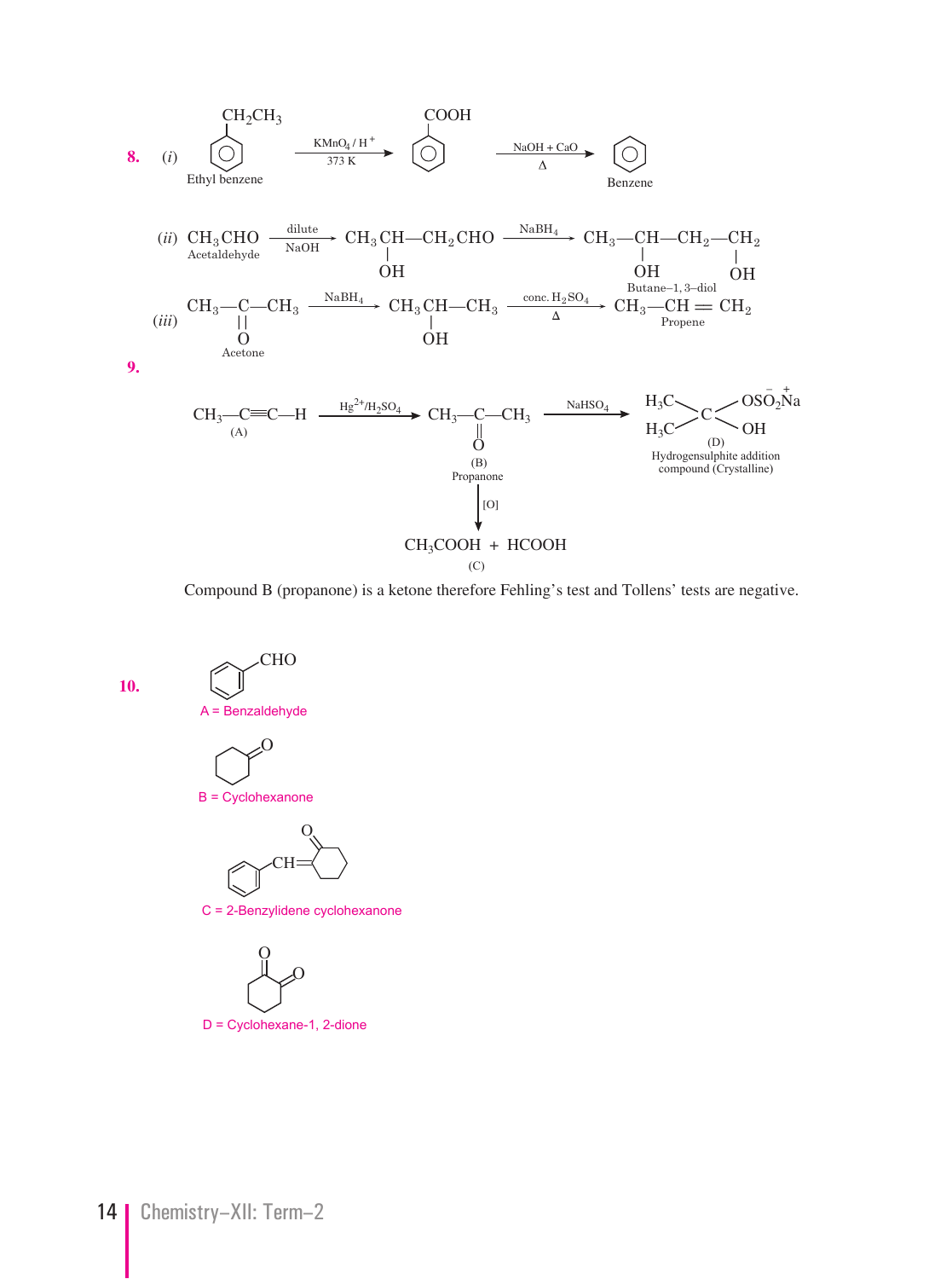

Compound B (propanone) is a ketone therefore Fehling's test and Tollens' tests are negative.

**10.**

CHO

A = Benzaldehyde



B = Cyclohexanone



C = 2-Benzylidene cyclohexanone

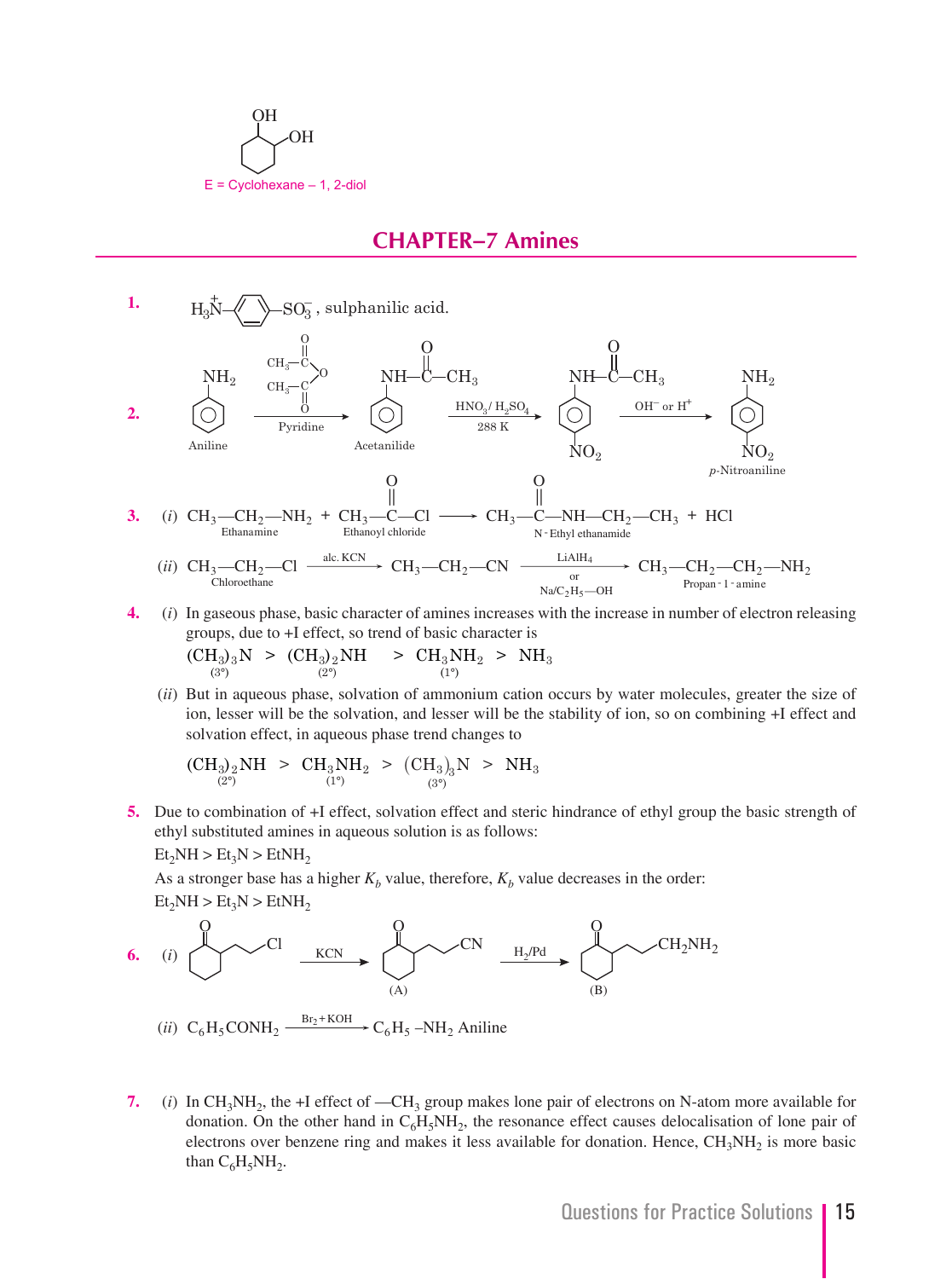

#### **CHAPTER–7 Amines**



- **4.** (*i*) In gaseous phase, basic character of amines increases with the increase in number of electron releasing groups, due to +I effect, so trend of basic character is  ${\rm (CH_3)_3N}$  >  ${\rm (CH_3)_2NH}$  >  ${\rm CH_3NH_2}$  > NH  $(3^{\circ})$   $(2^{\circ})$   $(1^{\circ})$  $(3°)$  $_{3/2}$ NH  $\rightarrow$  UH<sub>3</sub>NH<sub>2</sub>  $\rightarrow$  NH<sub>3</sub>  $(1^{\circ})$  $^{\circ})$  (2°) (1°
	- (*ii*) But in aqueous phase, solvation of ammonium cation occurs by water molecules, greater the size of ion, lesser will be the solvation, and lesser will be the stability of ion, so on combining +I effect and solvation effect, in aqueous phase trend changes to

$$
\text{(CH}_3)_2\text{NH} \geq \text{CH}_3\text{NH}_2 \geq (\text{CH}_3)_3\text{N} \geq \text{NH}_3
$$

**5.** Due to combination of +I effect, solvation effect and steric hindrance of ethyl group the basic strength of ethyl substituted amines in aqueous solution is as follows:

 $Et<sub>2</sub>NH > Et<sub>3</sub>N > EtNH<sub>2</sub>$ 

As a stronger base has a higher  $K_b$  value, therefore,  $K_b$  value decreases in the order:  $Et<sub>2</sub>NH > Et<sub>3</sub>N > EtNH<sub>2</sub>$ 



- (*ii*)  $C_6H_5CONH_2 \xrightarrow{\text{Br}_2+KOH} C_6H_5-NH_2$  Aniline
	- **7.** (*i*) In CH<sub>3</sub>NH<sub>2</sub>, the +I effect of —CH<sub>3</sub> group makes lone pair of electrons on N-atom more available for donation. On the other hand in  $C_6H_5NH_2$ , the resonance effect causes delocalisation of lone pair of electrons over benzene ring and makes it less available for donation. Hence,  $CH<sub>3</sub>NH<sub>2</sub>$  is more basic than  $C_6H_5NH_2$ .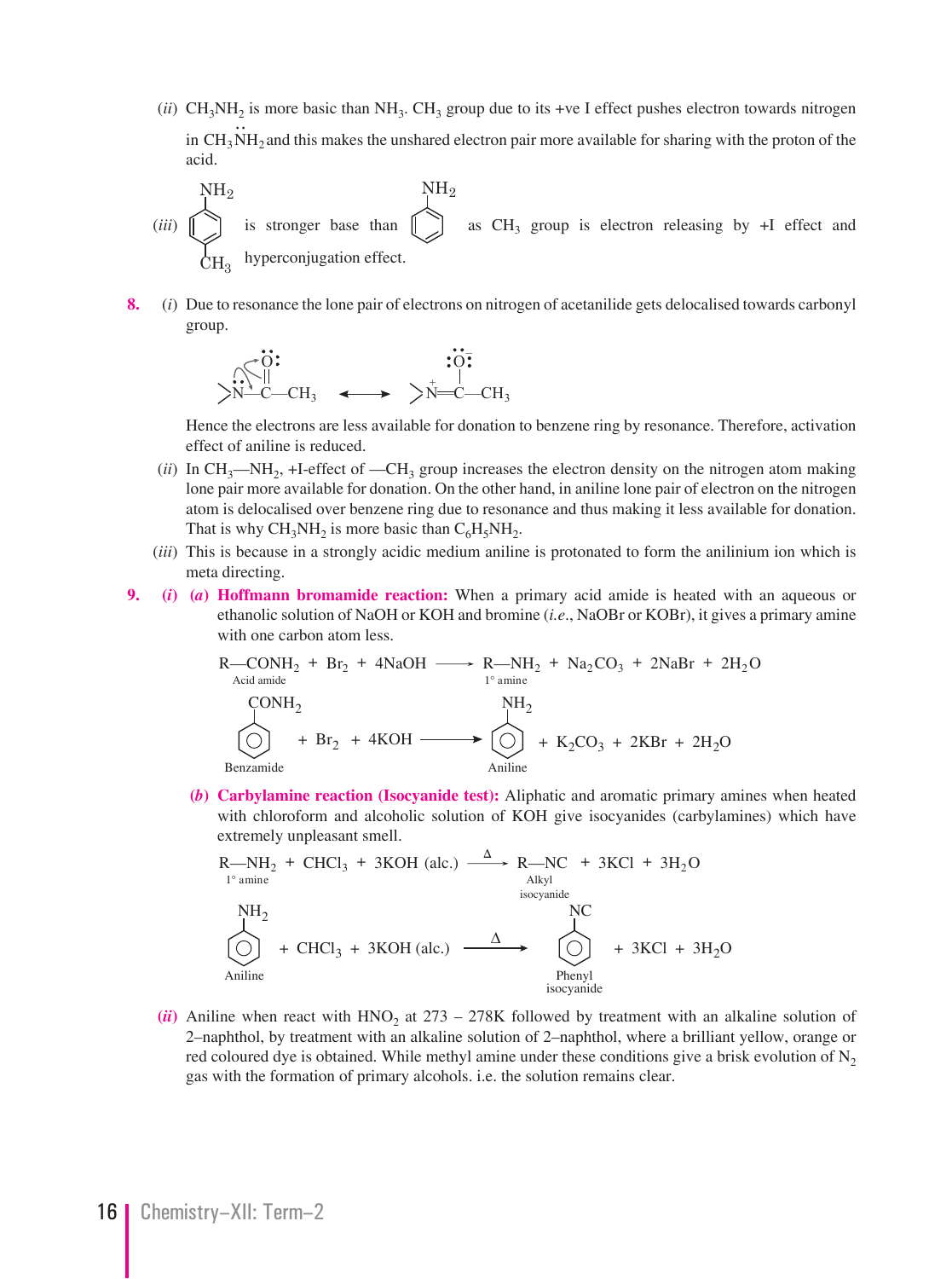- (*ii*) CH<sub>3</sub>NH<sub>2</sub> is more basic than NH<sub>3</sub>. CH<sub>3</sub> group due to its +ve I effect pushes electron towards nitrogen in  $CH<sub>3</sub>NH<sub>2</sub>$  and this makes the unshared electron pair more available for sharing with the proton of the acid.
- (*iii*)  $NH<sub>2</sub>$  $\rm CH_{3}$ is stronger base than  $\left[\Box\right]$  as CH<sub>3</sub> group is electron releasing by +I effect and  $NH<sub>2</sub>$ hyperconjugation effect.
	- **8.** (*i*) Due to resonance the lone pair of electrons on nitrogen of acetanilide gets delocalised towards carbonyl group.

 N—C—CH3 N—C—CH3 O + O–

 Hence the electrons are less available for donation to benzene ring by resonance. Therefore, activation effect of aniline is reduced.

- $(iii)$  In CH<sub>3</sub>—NH<sub>2</sub>, +I-effect of —CH<sub>3</sub> group increases the electron density on the nitrogen atom making lone pair more available for donation. On the other hand, in aniline lone pair of electron on the nitrogen atom is delocalised over benzene ring due to resonance and thus making it less available for donation. That is why  $CH_3NH_2$  is more basic than  $C_6H_5NH_2$ .
- (*iii*) This is because in a strongly acidic medium aniline is protonated to form the anilinium ion which is meta directing.
- **9. (***i***) (***a***) Hoffmann bromamide reaction:** When a primary acid amide is heated with an aqueous or ethanolic solution of NaOH or KOH and bromine (*i.e*., NaOBr or KOBr), it gives a primary amine with one carbon atom less.

$$
R\text{—CONH}_2 + Br_2 + 4NaOH \longrightarrow R\text{—NH}_2 + Na_2CO_3 + 2NaBr + 2H_2O
$$
\n
$$
\text{CONH}_2
$$
\n
$$
\text{CONH}_2
$$
\n
$$
\text{MH}_2
$$
\n
$$
\text{NH}_2
$$
\n
$$
\text{NH}_2
$$
\n
$$
\text{NH}_2
$$
\n
$$
\text{NH}_2
$$
\n
$$
\text{NH}_2
$$
\n
$$
\text{NH}_2
$$
\n
$$
\text{NH}_2
$$
\n
$$
\text{NH}_2
$$
\n
$$
\text{NH}_2
$$
\n
$$
\text{NH}_2
$$
\n
$$
\text{NH}_2
$$
\n
$$
\text{NH}_2
$$
\n
$$
\text{NH}_2
$$
\n
$$
\text{NH}_2
$$

Benzamide

 **(***b***) Carbylamine reaction (Isocyanide test):** Aliphatic and aromatic primary amines when heated with chloroform and alcoholic solution of KOH give isocyanides (carbylamines) which have extremely unpleasant smell.

R—NH<sub>2</sub> + CHCl<sub>3</sub> + 3KOH (alc.) 
$$
\xrightarrow{\Delta}
$$
 R—NC + 3KCl + 3H<sub>2</sub>O  
\n
$$
\xrightarrow{\text{Alkyl}}
$$
\nNC  
\n
$$
\xrightarrow{\text{MH}_2}
$$
\nNC  
\n+ CHCl<sub>3</sub> + 3KOH (alc.)  $\xrightarrow{\Delta}$  + 3KCl + 3H<sub>2</sub>O  
\n
$$
\xrightarrow{\text{Plenyl}}
$$
\n
$$
\xrightarrow{\text{Plenyl}}
$$
\nisocyanide  
\nisocyanide

 $(iii)$  Aniline when react with HNO<sub>2</sub> at 273 – 278K followed by treatment with an alkaline solution of 2–naphthol, by treatment with an alkaline solution of 2–naphthol, where a brilliant yellow, orange or red coloured dye is obtained. While methyl amine under these conditions give a brisk evolution of  $N_2$ gas with the formation of primary alcohols. i.e. the solution remains clear.